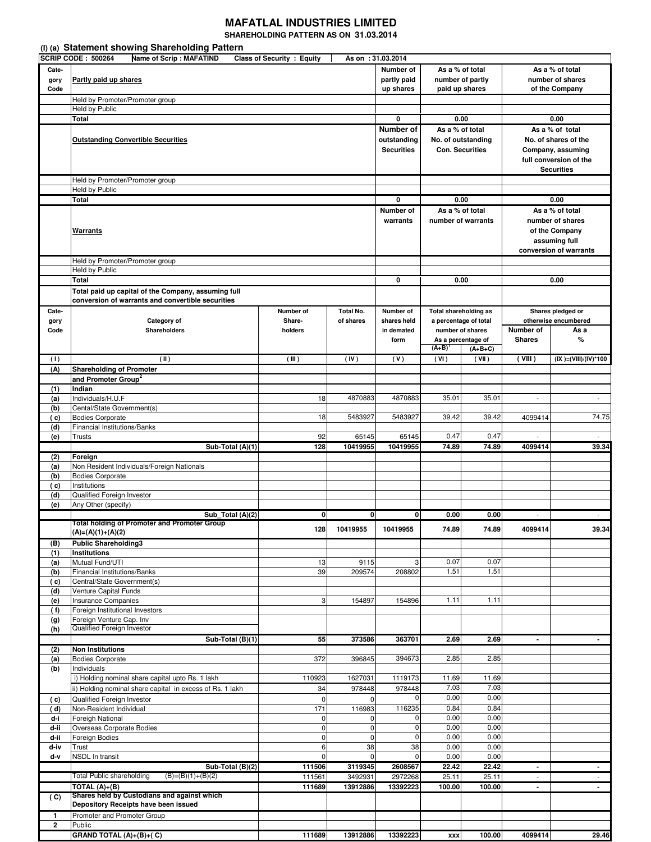## **MAFATLAL INDUSTRIES LIMITED**

**SHAREHOLDING PATTERN AS ON 31.03.2014** 

|                                | (I) (a) Statement showing Shareholding Pattern                            |                                   |                                       |                                |                                           |                    |                                           |                                 |  |  |
|--------------------------------|---------------------------------------------------------------------------|-----------------------------------|---------------------------------------|--------------------------------|-------------------------------------------|--------------------|-------------------------------------------|---------------------------------|--|--|
| Cate-                          | <b>SCRIP CODE: 500264</b><br><b>Name of Scrip: MAFATIND</b>               | <b>Class of Security : Equity</b> |                                       | As on: 31.03.2014<br>Number of | As a % of total                           |                    |                                           | As a % of total                 |  |  |
| gory<br>Code                   | Partly paid up shares                                                     | partly paid<br>up shares          | number of partly<br>paid up shares    |                                | number of shares<br>of the Company        |                    |                                           |                                 |  |  |
|                                | Held by Promoter/Promoter group                                           |                                   |                                       |                                |                                           |                    |                                           |                                 |  |  |
|                                | Held by Public                                                            |                                   |                                       |                                |                                           |                    |                                           |                                 |  |  |
|                                | Total                                                                     | 0                                 | 0.00                                  |                                | 0.00                                      |                    |                                           |                                 |  |  |
|                                | <b>Outstanding Convertible Securities</b>                                 | Number of<br>outstanding          | As a % of total<br>No. of outstanding |                                | As a % of total<br>No. of shares of the   |                    |                                           |                                 |  |  |
|                                |                                                                           |                                   |                                       | <b>Securities</b>              | <b>Con. Securities</b>                    |                    |                                           | Company, assuming               |  |  |
|                                |                                                                           |                                   |                                       |                                |                                           |                    |                                           | full conversion of the          |  |  |
|                                |                                                                           |                                   |                                       |                                |                                           |                    |                                           | <b>Securities</b>               |  |  |
|                                | Held by Promoter/Promoter group                                           |                                   |                                       |                                |                                           |                    |                                           |                                 |  |  |
|                                | Held by Public                                                            |                                   |                                       |                                |                                           |                    |                                           |                                 |  |  |
|                                | Total                                                                     | 0                                 | 0.00                                  |                                |                                           | 0.00               |                                           |                                 |  |  |
|                                |                                                                           |                                   |                                       | Number of                      |                                           | As a % of total    | As a % of total                           |                                 |  |  |
|                                |                                                                           |                                   |                                       | warrants                       | number of warrants                        |                    |                                           | number of shares                |  |  |
|                                | <b>Warrants</b>                                                           |                                   |                                       |                                |                                           |                    |                                           | of the Company<br>assuming full |  |  |
|                                |                                                                           |                                   |                                       |                                |                                           |                    |                                           | conversion of warrants          |  |  |
|                                | Held by Promoter/Promoter group                                           |                                   |                                       |                                |                                           |                    |                                           |                                 |  |  |
|                                | Held by Public                                                            |                                   |                                       |                                |                                           |                    |                                           |                                 |  |  |
|                                | Total                                                                     |                                   |                                       | 0                              | 0.00                                      |                    | 0.00                                      |                                 |  |  |
|                                | Total paid up capital of the Company, assuming full                       |                                   |                                       |                                |                                           |                    |                                           |                                 |  |  |
|                                | conversion of warrants and convertible securities                         |                                   |                                       |                                |                                           |                    |                                           |                                 |  |  |
| Cate-                          |                                                                           | Number of                         | Total No.                             | Number of                      | <b>Total shareholding as</b>              |                    |                                           | Shares pledged or               |  |  |
| gory<br>Code                   | Category of<br><b>Shareholders</b>                                        | Share-<br>holders                 | of shares                             | shares held<br>in demated      | a percentage of total<br>number of shares |                    | otherwise encumbered<br>Number of<br>As a |                                 |  |  |
|                                |                                                                           |                                   |                                       | form                           |                                           | As a percentage of | <b>Shares</b>                             | %                               |  |  |
|                                |                                                                           |                                   |                                       |                                | $(A+B)$                                   | $(A+B+C)$          |                                           |                                 |  |  |
| (1)                            | (II)                                                                      | (III)                             | (IV)                                  | (V)                            | (VI)                                      | (VII)              | (VIII)                                    | (IX )=(VIII)/(IV)*100           |  |  |
| (A)                            | <b>Shareholding of Promoter</b>                                           |                                   |                                       |                                |                                           |                    |                                           |                                 |  |  |
|                                | and Promoter Group <sup>2</sup><br>Indian                                 |                                   |                                       |                                |                                           |                    |                                           |                                 |  |  |
| (1)<br>(a)                     | Individuals/H.U.F                                                         | 18                                | 4870883                               | 4870883                        | 35.01                                     | 35.01              | $\overline{\phantom{a}}$                  | $\overline{\phantom{a}}$        |  |  |
| (b)                            | Cental/State Government(s)                                                |                                   |                                       |                                |                                           |                    |                                           |                                 |  |  |
| (c)                            | <b>Bodies Corporate</b>                                                   | 18                                | 5483927                               | 5483927                        | 39.42                                     | 39.42              | 4099414                                   | 74.75                           |  |  |
| (d)                            | Financial Institutions/Banks                                              |                                   |                                       |                                |                                           |                    |                                           |                                 |  |  |
| (e)                            | Trusts                                                                    | 92                                | 65145                                 | 65145                          | 0.47                                      | 0.47               | $\overline{\phantom{a}}$                  |                                 |  |  |
| (2)                            | Sub-Total (A)(1)<br><b>Foreian</b>                                        | 128                               | 10419955                              | 10419955                       | 74.89                                     | 74.89              | 4099414                                   | 39.34                           |  |  |
| (a)                            | Non Resident Individuals/Foreign Nationals                                |                                   |                                       |                                |                                           |                    |                                           |                                 |  |  |
| (b)                            | <b>Bodies Corporate</b>                                                   |                                   |                                       |                                |                                           |                    |                                           |                                 |  |  |
| ( c)                           | Institutions                                                              |                                   |                                       |                                |                                           |                    |                                           |                                 |  |  |
| (d)                            |                                                                           |                                   |                                       |                                |                                           |                    |                                           |                                 |  |  |
|                                | Qualified Foreign Investor                                                |                                   |                                       |                                |                                           |                    |                                           |                                 |  |  |
| (e)                            | Any Other (specify)                                                       |                                   |                                       |                                |                                           |                    |                                           |                                 |  |  |
|                                | $Sub\_Total(A)(2)$<br><b>Total holding of Promoter and Promoter Group</b> | $\mathbf{0}$                      | 0                                     | $\mathbf{0}$                   | 0.00                                      | 0.00               |                                           |                                 |  |  |
|                                | $(A)=(A)(1)+(A)(2)$                                                       | 128                               | 10419955                              | 10419955                       | 74.89                                     | 74.89              | 4099414                                   |                                 |  |  |
| (B)                            | <b>Public Shareholding3</b>                                               |                                   |                                       |                                |                                           |                    |                                           |                                 |  |  |
| (1)                            | <b>Institutions</b>                                                       |                                   |                                       |                                |                                           |                    |                                           | 39.34                           |  |  |
| (a)                            | Mutual Fund/UTI                                                           | 13                                | 9115                                  | 3                              | 0.07                                      | 0.07               |                                           |                                 |  |  |
| (b)<br>(c)                     | <b>Financial Institutions/Banks</b><br>Central/State Government(s)        | 39                                | 209574                                | 208802                         | 1.51                                      | 1.51               |                                           |                                 |  |  |
| (d)                            | Venture Capital Funds                                                     |                                   |                                       |                                |                                           |                    |                                           |                                 |  |  |
| (e)                            | <b>Insurance Companies</b>                                                | 3                                 | 154897                                | 154896                         | 1.11                                      | 1.11               |                                           |                                 |  |  |
| (f)                            | Foreign Institutional Investors                                           |                                   |                                       |                                |                                           |                    |                                           |                                 |  |  |
| (g)                            | Foreign Venture Cap. Inv<br>Qualified Foreign Investor                    |                                   |                                       |                                |                                           |                    |                                           |                                 |  |  |
| (h)                            | Sub-Total $(B)(1)$                                                        | 55                                | 373586                                | 363701                         | 2.69                                      | 2.69               | $\blacksquare$                            |                                 |  |  |
| (2)                            | <b>Non Institutions</b>                                                   |                                   |                                       |                                |                                           |                    |                                           |                                 |  |  |
| (a)                            | <b>Bodies Corporate</b>                                                   | 372                               | 396845                                | 394673                         | 2.85                                      | 2.85               |                                           |                                 |  |  |
| (b)                            | Individuals                                                               |                                   |                                       |                                |                                           |                    |                                           |                                 |  |  |
|                                | i) Holding nominal share capital upto Rs. 1 lakh                          | 110923                            | 1627031                               | 1119173                        | 11.69                                     | 11.69              |                                           |                                 |  |  |
|                                | ii) Holding nominal share capital in excess of Rs. 1 lakh                 | 34                                | 978448                                | 978448<br>0                    | 7.03                                      | 7.03               |                                           |                                 |  |  |
| (c)<br>( d)                    | Qualified Foreign Investor<br>Non-Resident Individual                     | $\pmb{0}$<br>171                  | 0<br>116983                           | 116235                         | 0.00<br>0.84                              | 0.00<br>0.84       |                                           |                                 |  |  |
| d-i                            | Foreigh National                                                          | 0                                 | 0                                     | 0                              | 0.00                                      | 0.00               |                                           |                                 |  |  |
| d-ii                           | Overseas Corporate Bodies                                                 | $\mathbf 0$                       | 0                                     | 0                              | 0.00                                      | 0.00               |                                           |                                 |  |  |
| d-ii                           | Foreign Bodies                                                            | $\pmb{0}$                         | 0                                     | 0                              | 0.00                                      | 0.00               |                                           |                                 |  |  |
| d-iv                           | Trust                                                                     | 6                                 | 38                                    | 38                             | 0.00                                      | 0.00               |                                           |                                 |  |  |
| d-v                            | <b>NSDL In transit</b>                                                    | 0<br>111506                       | $\mathbf 0$<br>3119345                | $\mathbf 0$<br>2608567         | 0.00<br>22.42                             | 0.00<br>22.42      | $\blacksquare$                            |                                 |  |  |
|                                | Sub-Total (B)(2)<br>Total Public shareholding<br>$(B)=(B)(1)+(B)(2)$      | 111561                            | 3492931                               | 2972268                        | 25.11                                     | 25.11              | $\blacksquare$                            | $\sim$                          |  |  |
|                                | TOTAL $(A)+(B)$                                                           | 111689                            | 13912886                              | 13392223                       | 100.00                                    | 100.00             | $\blacksquare$                            | $\sim$                          |  |  |
| (C)                            | Shares held by Custodians and against which                               |                                   |                                       |                                |                                           |                    |                                           |                                 |  |  |
|                                | Depository Receipts have been issued                                      |                                   |                                       |                                |                                           |                    |                                           |                                 |  |  |
| $\mathbf{1}$<br>$\overline{2}$ | Promoter and Promoter Group<br>Public                                     |                                   |                                       |                                |                                           |                    |                                           |                                 |  |  |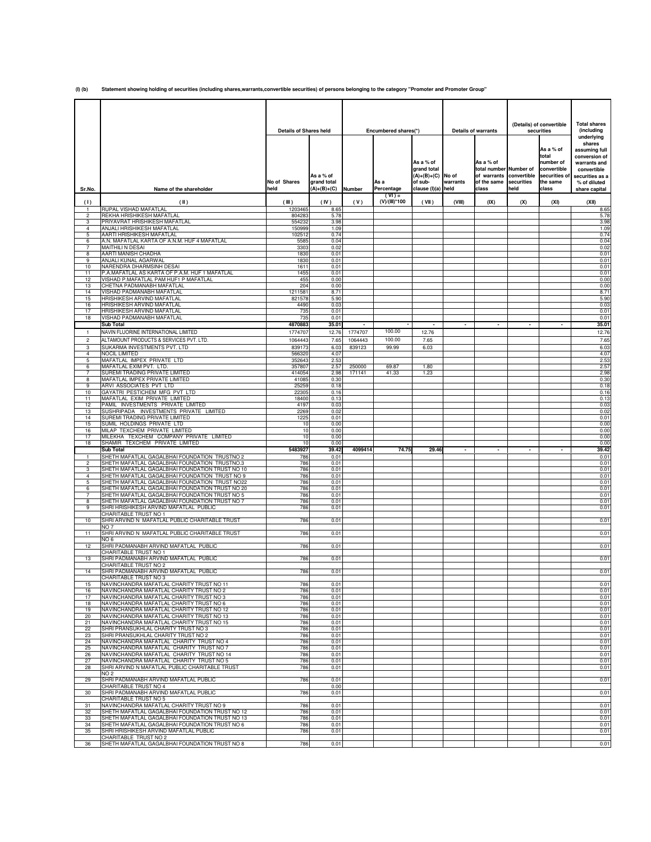**(I) (b) Statement showing holding of securities (including shares,warrants,convertible securities) of persons belonging to the category "Promoter and Promoter Group"**

|                     |                                                                                                    |                               |                                         |                  |                           |                                                                     |          | (Details) of convertible                                                             |      | <b>Total shares</b>                               |                                                                                      |
|---------------------|----------------------------------------------------------------------------------------------------|-------------------------------|-----------------------------------------|------------------|---------------------------|---------------------------------------------------------------------|----------|--------------------------------------------------------------------------------------|------|---------------------------------------------------|--------------------------------------------------------------------------------------|
|                     |                                                                                                    | <b>Details of Shares held</b> |                                         |                  | Encumbered shares(*)      | As a % of                                                           |          | <b>Details of warrants</b><br>As a % of                                              |      | securities<br>As a % of<br>total<br>number of     | (including<br>underlying<br>shares<br>assuming full<br>conversion of<br>warrants and |
| Sr.No.              | Name of the shareholder                                                                            | No of Shares<br>held          | As a % of<br>grand total<br>(A)+(B)+(C) | Number           | As a<br>Percentage        | grand total<br>$(A)+(B)+(C)$ No of<br>of sub-<br>clause (I)(a) held | warrants | total number Number of<br>of warrants convertible<br>of the same securities<br>class | held | convertible<br>securities of<br>the same<br>class | convertible<br>securities as a<br>% of diluted<br>share capital                      |
| (1)                 | (II)                                                                                               | (III)                         | (IV)                                    | (V)              | $(VI) =$<br>(V)/(III)*100 | (VII)                                                               | (VIII)   | (IX)                                                                                 | (X)  | (XI)                                              | (XII)                                                                                |
| $\mathbf{1}$<br>2   | RUPAL VISHAD MAFATLAL<br>REKHA HRISHIKESH MAFATLAL                                                 | 1203465<br>80428              | 8.65<br>5.78                            |                  |                           |                                                                     |          |                                                                                      |      |                                                   | 8.65<br>5.78                                                                         |
| 3                   | PRIYAVRAT HRISHIKESH MAFATLAL                                                                      | 55423                         | 3.98                                    |                  |                           |                                                                     |          |                                                                                      |      |                                                   | 3.98                                                                                 |
| 4<br>5              | ANJALI HRISHIKESH MAFATLAL<br>AARTI HRISHIKESH MAFATLAL                                            | 15099<br>102512               | 1.09<br>0.74                            |                  |                           |                                                                     |          |                                                                                      |      |                                                   | 1.09<br>0.74                                                                         |
| 6                   | A.N. MAFATLAL KARTA OF A.N.M. HUF 4 MAFATLAL                                                       | 558                           | 0.04                                    |                  |                           |                                                                     |          |                                                                                      |      |                                                   | 0.04                                                                                 |
| 7<br>8              | <b>MAITHILI N DESAI</b><br>AARTI MANISH CHADHA                                                     | 3303<br>1830                  | 0.02<br>0.01                            |                  |                           |                                                                     |          |                                                                                      |      |                                                   | 0.02<br>0.01                                                                         |
| 9                   | ANJALI KUNAL AGARWAL                                                                               | 1830                          | 0.01                                    |                  |                           |                                                                     |          |                                                                                      |      |                                                   | 0.01                                                                                 |
| 10<br>11            | NARENDRA DHARMSINH DESAI<br>P.A.MAFATLAL AS KARTA OF P.A.M. HUF 1 MAFATLAL                         | 1611<br>1455                  | 0.01<br>0.01                            |                  |                           |                                                                     |          |                                                                                      |      |                                                   | 0.01<br>0.01                                                                         |
| 12                  | VISHAD P.MAFATLAL PAM HUF1 P MAFATLAL                                                              | 455                           | 0.00                                    |                  |                           |                                                                     |          |                                                                                      |      |                                                   | 0.00                                                                                 |
| 13<br>14            | CHETNA PADMANABH MAFATLAL<br><b>VISHAD PADMANABH MAFATLAL</b>                                      | 204<br>1211581                | 0.00<br>8.71                            |                  |                           |                                                                     |          |                                                                                      |      |                                                   | 0.00<br>8.71                                                                         |
| 15<br>16            | HRISHIKESH ARVIND MAFATLAL<br>HRISHIKESH ARVIND MAFATLAL                                           | 821578<br>4490                | 5.90<br>0.03                            |                  |                           |                                                                     |          |                                                                                      |      |                                                   | 5.90<br>0.03                                                                         |
| 17                  | HRISHIKESH ARVIND MAFATLAL                                                                         | 735                           | 0.01                                    |                  |                           |                                                                     |          |                                                                                      |      |                                                   | 0.01                                                                                 |
| 18                  | VISHAD PADMANABH MAFATLAL<br><b>Sub Total</b>                                                      | 735<br>4870883                | 0.01<br>35.01                           |                  |                           |                                                                     |          |                                                                                      |      |                                                   | 0.01<br>35.01                                                                        |
| $\mathbf{1}$        | NAVIN FLUORINE INTERNATIONAL LIMITED                                                               | 1774707                       | 12.76                                   | 1774707          | 100.00                    | 12.76                                                               |          |                                                                                      |      |                                                   | 12.76                                                                                |
| $\overline{c}$      | ALTAMOUNT PRODUCTS & SERVICES PVT. LTD.                                                            | 1064443                       | 7.65                                    | 1064443          | 100.00                    | 7.65                                                                |          |                                                                                      |      |                                                   | 7.65                                                                                 |
| 3<br>$\overline{4}$ | SUKARMA INVESTMENTS PVT. LTD<br><b>NOCIL LIMITED</b>                                               | 839173<br>566320              | 6.03<br>4.07                            | 839123           | 99.99                     | 6.03                                                                |          |                                                                                      |      |                                                   | 6.03<br>4.07                                                                         |
| 5                   | MAFATLAL IMPEX PRIVATE LTD                                                                         | 352643                        | 2.53                                    |                  |                           |                                                                     |          |                                                                                      |      |                                                   | 2.53                                                                                 |
| 6<br>$\overline{7}$ | MAFATLAL EXIM PVT. LTD.<br>SUREMI TRADING PRIVATE LIMITED                                          | 35780<br>414054               | 2.57<br>2.98                            | 250000<br>171141 | 69.87<br>41.33            | 1.80<br>1.23                                                        |          |                                                                                      |      |                                                   | 2.57<br>2.98                                                                         |
| 8                   | MAFATLAL IMPEX PRIVATE LIMITED                                                                     | 4108                          | 0.30                                    |                  |                           |                                                                     |          |                                                                                      |      |                                                   | 0.30                                                                                 |
| 9<br>10             | ARVI ASSOCIATES PVT LTD<br>GAYATRI PESTICHEM MFG PVT LTD                                           | 25259<br>22305                | 0.18<br>0.16                            |                  |                           |                                                                     |          |                                                                                      |      |                                                   | 0.18<br>0.16                                                                         |
| 11                  | MAFATLAL EXIM PRIVATE LIMITED                                                                      | 18400                         | 0.13                                    |                  |                           |                                                                     |          |                                                                                      |      |                                                   | 0.13                                                                                 |
| 12<br>13            | PAMIL INVESTMENTS PRIVATE LIMITED<br>SUSHRIPADA INVESTMENTS PRIVATE LIMITED                        | 4197<br>2269                  | 0.03<br>0.02                            |                  |                           |                                                                     |          |                                                                                      |      |                                                   | 0.03<br>0.02                                                                         |
| 14                  | SUREMI TRADING PRIVATE LIMITED                                                                     | 1225                          | 0.01                                    |                  |                           |                                                                     |          |                                                                                      |      |                                                   | 0.01                                                                                 |
| 15<br>16            | SUMIL HOLDINGS PRIVATE LTD<br>MILAP TEXCHEM PRIVATE LIMITED                                        | 10<br>10                      | 0.00<br>0.00                            |                  |                           |                                                                     |          |                                                                                      |      |                                                   | 0.00<br>0.00                                                                         |
| 17                  | MILEKHA TEXCHEM COMPANY PRIVATE LIMITED                                                            | 10                            | 0.00                                    |                  |                           |                                                                     |          |                                                                                      |      |                                                   | 0.00                                                                                 |
| 18                  | SHAMIR TEXCHEM PRIVATE LIMITED<br>Sub Total                                                        | 10<br>5483927                 | 0.00<br>39.42                           | 4099414          | 74.75                     | 29.46                                                               |          |                                                                                      |      |                                                   | 0.00<br>39.42                                                                        |
|                     | SHETH MAFATLAL GAGALBHAI FOUNDATION TRUSTNO 2                                                      | 786                           | 0.01                                    |                  |                           |                                                                     |          |                                                                                      |      |                                                   | 0.01                                                                                 |
| 2<br>3              | SHETH MAFATLAL GAGALBHAI FOUNDATION TRUSTNO.3<br>SHETH MAFATLAL GAGALBHAI FOUNDATION TRUST NO 10   | 786<br>786                    | 0.01<br>0.01                            |                  |                           |                                                                     |          |                                                                                      |      |                                                   | 0.01<br>0.01                                                                         |
| 4                   | SHETH MAFATLAL GAGALBHAI FOUNDATION TRUST NO 9                                                     | 786                           | 0.01                                    |                  |                           |                                                                     |          |                                                                                      |      |                                                   | 0.01                                                                                 |
| 5<br>6              | SHETH MAFATLAL GAGALBHAI FOUNDATION TRUST NO22<br>SHETH MAFATLAL GAGALBHAI FOUNDATION TRUST NO 20  | 786<br>786                    | 0.01<br>0.01                            |                  |                           |                                                                     |          |                                                                                      |      |                                                   | 0.01<br>0.01                                                                         |
|                     | SHETH MAFATLAL GAGALBHAI FOUNDATION TRUST NO 5                                                     | 786                           | 0.01                                    |                  |                           |                                                                     |          |                                                                                      |      |                                                   | 0.01                                                                                 |
| 8<br>9              | SHETH MAFATLAL GAGALBHAI FOUNDATION TRUST NO 7<br>SHRI HRISHIKESH ARVIND MAFATLAL PUBLIC           | 786<br>786                    | 0.01<br>0.01                            |                  |                           |                                                                     |          |                                                                                      |      |                                                   | 0.01<br>0.01                                                                         |
| 10                  | CHARITABLE TRUST NO 1<br>SHRI ARVIND N MAFATLAL PUBLIC CHARITABLE TRUST                            | 786                           | 0.01                                    |                  |                           |                                                                     |          |                                                                                      |      |                                                   | 0.01                                                                                 |
|                     | NO 7                                                                                               |                               |                                         |                  |                           |                                                                     |          |                                                                                      |      |                                                   |                                                                                      |
| 11                  | SHRI ARVIND N MAFATLAL PUBLIC CHARITABLE TRUST<br>NO 6                                             | 786                           | 0.01                                    |                  |                           |                                                                     |          |                                                                                      |      |                                                   | 0.01                                                                                 |
| 12                  | SHRI PADMANABH ARVIND MAFATLAL PUBLIC                                                              | 786                           | 0.01                                    |                  |                           |                                                                     |          |                                                                                      |      |                                                   | 0.01                                                                                 |
| 13                  | CHARITABLE TRUST NO 1<br>SHRI PADMANABH ARVIND MAFATLAL PUBLIC                                     | 786                           | 0.01                                    |                  |                           |                                                                     |          |                                                                                      |      |                                                   | 0.01                                                                                 |
|                     | CHARITABLE TRUST NO 2                                                                              |                               |                                         |                  |                           |                                                                     |          |                                                                                      |      |                                                   |                                                                                      |
| 14                  | SHRI PADMANABH ARVIND MAFATLAL PUBLIC<br>CHARITABLE TRUST NO 3                                     | 786                           | 0.01                                    |                  |                           |                                                                     |          |                                                                                      |      |                                                   | 0.01                                                                                 |
| 15                  | NAVINCHANDRA MAFATLAL CHARITY TRUST NO 11<br>NAVINCHANDRA MAFATLAL CHARITY TRUST NO 2              | 786<br>786                    | 0.01<br>0.01                            |                  |                           |                                                                     |          |                                                                                      |      |                                                   | 0.01<br>0.01                                                                         |
| 16<br>17            | NAVINCHANDRA MAFATLAL CHARITY TRUST NO 3                                                           | 786                           | 0.01                                    |                  |                           |                                                                     |          |                                                                                      |      |                                                   | 0.01                                                                                 |
| 18<br>19            | NAVINCHANDRA MAFATLAL CHARITY TRUST NO 6<br>NAVINCHANDRA MAFATLAL CHARITY TRUST NO 12              | 786<br>786                    | 0.01<br>0.01                            |                  |                           |                                                                     |          |                                                                                      |      |                                                   | 0.01<br>0.01                                                                         |
| 20                  | NAVINCHANDRA MAFATLAL CHARITY TRUST NO 13                                                          | 786                           | 0.01                                    |                  |                           |                                                                     |          |                                                                                      |      |                                                   | 0.01                                                                                 |
| 21<br>22            | NAVINCHANDRA MAFATLAL CHARITY TRUST NO 15<br>SHRI PRANSUKHLAL CHARITY TRUST NO 3                   | 786<br>786                    | 0.01<br>0.01                            |                  |                           |                                                                     |          |                                                                                      |      |                                                   | 0.01<br>0.01                                                                         |
| 23                  | SHRI PRANSUKHLAL CHARITY TRUST NO 2                                                                | 786                           | 0.01                                    |                  |                           |                                                                     |          |                                                                                      |      |                                                   | 0.01                                                                                 |
| 24<br>25            | NAVINCHANDRA MAFATLAL CHARITY TRUST NO 4<br>NAVINCHANDRA MAFATLAL CHARITY TRUST NO 7               | 786<br>786                    | 0.01<br>0.01                            |                  |                           |                                                                     |          |                                                                                      |      |                                                   | 0.01<br>0.01                                                                         |
| 26                  | NAVINCHANDRA MAFATLAL CHARITY TRUST NO 14                                                          | 786                           | 0.01                                    |                  |                           |                                                                     |          |                                                                                      |      |                                                   | 0.01                                                                                 |
| 27<br>28            | NAVINCHANDRA MAFATLAL CHARITY TRUST NO 5<br>SHRI ARVIND N MAFATLAL PUBLIC CHARITABLE TRUST         | 786<br>786                    | 0.01<br>0.01                            |                  |                           |                                                                     |          |                                                                                      |      |                                                   | 0.01<br>0.01                                                                         |
|                     | NO 2                                                                                               |                               |                                         |                  |                           |                                                                     |          |                                                                                      |      |                                                   |                                                                                      |
| 29                  | SHRI PADMANABH ARVIND MAFATLAL PUBLIC<br>CHARITABLE TRUST NO 4                                     | 786                           | 0.01<br>0.00                            |                  |                           |                                                                     |          |                                                                                      |      |                                                   | 0.01                                                                                 |
| 30                  | SHRI PADMANABH ARVIND MAFATLAL PUBLIC                                                              | 786                           | 0.01                                    |                  |                           |                                                                     |          |                                                                                      |      |                                                   | 0.01                                                                                 |
| 31                  | CHARITABLE TRUST NO 5<br>NAVINCHANDRA MAFATLAL CHARITY TRUST NO 9                                  | 786                           | 0.01                                    |                  |                           |                                                                     |          |                                                                                      |      |                                                   | 0.01                                                                                 |
| 32<br>33            | SHETH MAFATLAL GAGALBHAI FOUNDATION TRUST NO 12<br>SHETH MAFATLAL GAGALBHAI FOUNDATION TRUST NO 13 | 786<br>786                    | 0.01<br>0.01                            |                  |                           |                                                                     |          |                                                                                      |      |                                                   | 0.01<br>0.01                                                                         |
| 34                  | SHETH MAFATLAL GAGALBHAI FOUNDATION TRUST NO 6                                                     | 786                           | 0.01                                    |                  |                           |                                                                     |          |                                                                                      |      |                                                   | 0.01                                                                                 |
| 35                  | SHRI HRISHIKESH ARVIND MAFATLAL PUBLIC<br>CHARITABLE TRUST NO 2                                    | 786                           | 0.01                                    |                  |                           |                                                                     |          |                                                                                      |      |                                                   | 0.01                                                                                 |
| 36                  | SHETH MAFATLAL GAGALBHAI FOUNDATION TRUST NO 8                                                     | 786                           | 0.01                                    |                  |                           |                                                                     |          |                                                                                      |      |                                                   | 0.01                                                                                 |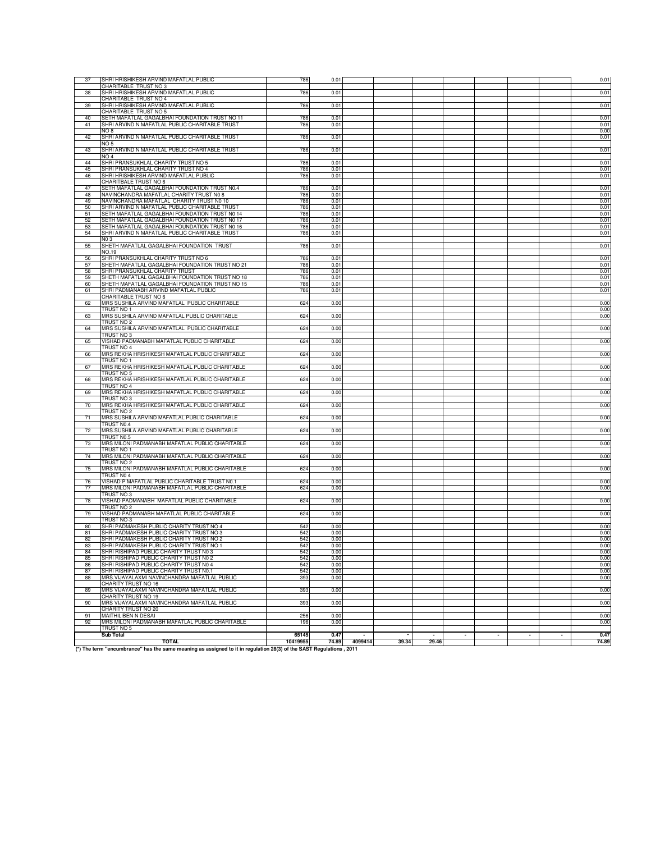| 37       | SHRI HRISHIKESH ARVIND MAFATLAL PUBLIC                                                                                              | 786        | 0.01         |         |       |       |  |  | 0.01         |
|----------|-------------------------------------------------------------------------------------------------------------------------------------|------------|--------------|---------|-------|-------|--|--|--------------|
| 38       | CHARITABLE TRUST NO 3<br>SHRI HRISHIKESH ARVIND MAFATLAL PUBLIC                                                                     | 786        | 0.01         |         |       |       |  |  | 0.01         |
|          | CHARITABLE TRUST NO 4                                                                                                               |            |              |         |       |       |  |  |              |
| 39       | SHRI HRISHIKESH ARVIND MAFATLAL PUBLIC                                                                                              | 786        | 0.01         |         |       |       |  |  | 0.01         |
| 40       | CHARITABLE TRUST NO 5<br>SETH MAFATLAL GAGALBHAI FOUNDATION TRUST NO 11                                                             | 786        | 0.01         |         |       |       |  |  | 0.01         |
| 41       | SHRI ARVIND N MAFATLAL PUBLIC CHARITABLE TRUST                                                                                      | 786        | 0.01         |         |       |       |  |  | 0.01         |
|          | NO 8                                                                                                                                |            |              |         |       |       |  |  | 0.00         |
| 42       | SHRI ARVIND N MAFATLAL PUBLIC CHARITABLE TRUST<br>NO 5                                                                              | 786        | 0.01         |         |       |       |  |  | 0.01         |
| 43       | SHRI ARVIND N MAFATLAL PUBLIC CHARITABLE TRUST                                                                                      | 786        | 0.01         |         |       |       |  |  | 0.01         |
|          | NO <sub>4</sub>                                                                                                                     |            |              |         |       |       |  |  |              |
| 44<br>45 | SHRI PRANSUKHLAL CHARITY TRUST NO 5<br>SHRI PRANSUKHLAL CHARITY TRUST NO 4                                                          | 786<br>786 | 0.01<br>0.01 |         |       |       |  |  | 0.01<br>0.01 |
| 46       | SHRI HRISHIKESH ARVIND MAFATLAL PUBLIC                                                                                              | 786        | 0.01         |         |       |       |  |  | 0.01         |
|          | CHARITBALE TRUST NO 6                                                                                                               |            |              |         |       |       |  |  |              |
| 47<br>48 | SETH MAFATLAL GAGALBHAI FOUNDATION TRUST N0.4<br>NAVINCHANDRA MAFATLAL CHARITY TRUST N0 8                                           | 786<br>786 | 0.01<br>0.01 |         |       |       |  |  | 0.01<br>0.01 |
| 49       | NAVINCHANDRA MAFATLAL CHARITY TRUST N0 10                                                                                           | 786        | 0.01         |         |       |       |  |  | 0.01         |
| 50       | SHRI ARVIND N MAFATLAL PUBLIC CHARITABLE TRUST                                                                                      | 786        | 0.01         |         |       |       |  |  | 0.01         |
| 51<br>52 | SETH MAFATLAL GAGALBHAI FOUNDATION TRUST N0 14<br>SETH MAFATLAL GAGALBHAI FOUNDATION TRUST NO 17                                    | 786<br>786 | 0.01<br>0.01 |         |       |       |  |  | 0.01<br>0.01 |
| 53       | SETH MAFATLAL GAGALBHAI FOUNDATION TRUST N0 16                                                                                      | 786        | 0.01         |         |       |       |  |  | 0.01         |
| 54       | SHRI ARVIND N MAFATLAL PUBLIC CHARITABLE TRUST                                                                                      | 786        | 0.01         |         |       |       |  |  | 0.01         |
| 55       | N <sub>0</sub> 3<br>SHETH MAFATLAL GAGALBHAI FOUNDATION TRUST                                                                       | 786        | 0.01         |         |       |       |  |  | 0.01         |
|          | NO.19                                                                                                                               |            |              |         |       |       |  |  |              |
| 56       | SHRI PRANSUKHLAL CHARITY TRUST NO 6                                                                                                 | 786        | 0.01         |         |       |       |  |  | 0.01         |
| 57       | SHETH MAFATLAL GAGALBHAI FOUNDATION TRUST NO 21                                                                                     | 786        | 0.01         |         |       |       |  |  | 0.01         |
| 58<br>59 | SHRI PRANSUKHLAL CHARITY TRUST<br>SHETH MAFATLAL GAGALBHAI FOUNDATION TRUST NO 18                                                   | 786<br>786 | 0.01<br>0.01 |         |       |       |  |  | 0.01<br>0.01 |
| 60       | SHETH MAFATLAL GAGALBHAI FOUNDATION TRUST NO 15                                                                                     | 786        | 0.01         |         |       |       |  |  | 0.01         |
| 61       | SHRI PADMANABH ARVIND MAFATLAL PUBLIC                                                                                               | 786        | 0.01         |         |       |       |  |  | 0.01         |
| 62       | CHARITABLE TRUST NO 6<br>MRS SUSHILA ARVIND MAFATLAL PUBLIC CHARITABLE                                                              | 624        | 0.00         |         |       |       |  |  | 0.00         |
|          | TRUST NO 1                                                                                                                          |            |              |         |       |       |  |  | 0.00         |
| 63       | MRS SUSHILA ARVIND MAFATLAL PUBLIC CHARITABLE                                                                                       | 624        | 0.00         |         |       |       |  |  | 0.00         |
|          | TRUST NO 2                                                                                                                          |            |              |         |       |       |  |  |              |
| 64       | MRS SUSHILA ARVIND MAFATLAL PUBLIC CHARITABLE<br>TRUST NO 3                                                                         | 624        | 0.00         |         |       |       |  |  | 0.00         |
| 65       | VISHAD PADMANABH MAFATLAL PUBLIC CHARITABLE                                                                                         | 624        | 0.00         |         |       |       |  |  | 0.00         |
|          | TRUST NO 4                                                                                                                          |            |              |         |       |       |  |  |              |
| 66       | MRS REKHA HRISHIKESH MAFATLAL PUBLIC CHARITABLE<br>TRUST NO 1                                                                       | 624        | 0.00         |         |       |       |  |  | 0.00         |
| 67       | MRS REKHA HRISHIKESH MAFATLAL PUBLIC CHARITABLE                                                                                     | 624        | 0.00         |         |       |       |  |  | 0.00         |
|          | TRUST NO 5                                                                                                                          |            |              |         |       |       |  |  |              |
| 68       | MRS REKHA HRISHIKESH MAFATLAL PUBLIC CHARITABLE                                                                                     | 624        | 0.00         |         |       |       |  |  | 0.00         |
| 69       | TRUST NO 4<br>MRS REKHA HRISHIKESH MAFATLAL PUBLIC CHARITABLE                                                                       | 624        | 0.00         |         |       |       |  |  | 0.00         |
|          | TRUST NO 3                                                                                                                          |            |              |         |       |       |  |  |              |
| 70       | MRS REKHA HRISHIKESH MAFATLAL PUBLIC CHARITABLE                                                                                     | 624        | 0.00         |         |       |       |  |  | 0.00         |
| 71       | TRUST NO 2<br>MRS SUSHILA ARVIND MAFATLAL PUBLIC CHARITABLE                                                                         | 624        | 0.00         |         |       |       |  |  | 0.00         |
|          | TRUST N0.4                                                                                                                          |            |              |         |       |       |  |  |              |
| 72       | MRS.SUSHILA ARVIND MAFATLAL PUBLIC CHARITABLE                                                                                       | 624        | 0.00         |         |       |       |  |  | 0.00         |
| 73       | TRUST N0.5<br>MRS MILONI PADMANABH MAFATLAL PUBLIC CHARITABLE                                                                       | 624        | 0.00         |         |       |       |  |  | 0.00         |
|          | TRUST NO 1                                                                                                                          |            |              |         |       |       |  |  |              |
| 74       | MRS MILONI PADMANABH MAFATLAL PUBLIC CHARITABLE                                                                                     | 624        | 0.00         |         |       |       |  |  | 0.00         |
|          | TRUST NO 2                                                                                                                          |            |              |         |       |       |  |  |              |
| 75       | MRS MILONI PADMANABH MAFATLAL PUBLIC CHARITABLE<br>TRUST N04                                                                        | 624        | 0.00         |         |       |       |  |  | 0.00         |
| 76       | VISHAD P MAFATLAL PUBLIC CHARITABLE TRUST N0.1                                                                                      | 624        | 0.00         |         |       |       |  |  | 0.00         |
| 77       | MRS MILONI PADMANABH MAFATLAL PUBLIC CHARITABLE                                                                                     | 624        | 0.00         |         |       |       |  |  | 0.00         |
| 78       | TRUST NO.3<br>VISHAD PADMANABH MAFATLAL PUBLIC CHARITABLE                                                                           | 624        | 0.00         |         |       |       |  |  | 0.00         |
|          | TRUST NO 2                                                                                                                          |            |              |         |       |       |  |  |              |
| 79       | VISHAD PADMANABH MAFATLAL PUBLIC CHARITABLE                                                                                         | 624        | 0.00         |         |       |       |  |  | 0.00         |
| 80       | TRUST NO-3<br>SHRI PADMAKESH PUBLIC CHARITY TRUST NO 4                                                                              | 542        | 0.00         |         |       |       |  |  | 0.00         |
| 81       | SHRI PADMAKESH PUBLIC CHARITY TRUST NO 3                                                                                            | 542        | 0.00         |         |       |       |  |  | 0.00         |
| 82       | SHRI PADMAKESH PUBLIC CHARITY TRUST NO 2                                                                                            | 542        | 0.00         |         |       |       |  |  | 0.00         |
| 83       | SHRI PADMAKESH PUBLIC CHARITY TRUST NO 1                                                                                            | 542        | 0.00         |         |       |       |  |  | 0.00         |
| 85       | SHRI RISHIPAD PUBLIC CHARITY TRUST NO<br>SHRI RISHIPAD PUBLIC CHARITY TRUST NO 2                                                    | 542        | 0.0<br>0.00  |         |       |       |  |  | 0.00<br>0.00 |
| 86       | SHRI RISHIPAD PUBLIC CHARITY TRUST NO 4                                                                                             | 542        | 0.00         |         |       |       |  |  | 0.00         |
| 87       | SHRI RISHIPAD PUBLIC CHARITY TRUST N0.1                                                                                             | 542        | 0.00         |         |       |       |  |  | 0.00         |
| 88       | MRS. VIJAYALAXMI NAVINCHANDRA MAFATLAL PUBLIC<br>CHARITY TRUST NO 16                                                                | 393        | 0.00         |         |       |       |  |  | 0.00         |
| 89       | MRS VIJAYALAXMI NAVINCHANDRA MAFATLAL PUBLIC                                                                                        | 393        | 0.00         |         |       |       |  |  | 0.00         |
|          | CHARITY TRUST NO 19                                                                                                                 |            |              |         |       |       |  |  |              |
| 90       | MRS VIJAYALAXMI NAVINCHANDRA MAFATLAL PUBLIC                                                                                        | 393        | 0.00         |         |       |       |  |  | 0.00         |
| 91       | CHARITY TRUST NO 20<br>MAITHILIBEN N DESAI                                                                                          | 256        | 0.00         |         |       |       |  |  | 0.00         |
| 92       | MRS MILONI PADMANABH MAFATLAL PUBLIC CHARITABLE                                                                                     | 196        | 0.00         |         |       |       |  |  | 0.00         |
|          | TRUST NO 5                                                                                                                          |            |              |         |       |       |  |  |              |
|          | <b>Sub Total</b>                                                                                                                    | 65145      | 0.47         |         |       |       |  |  | 0.47         |
|          | <b>TOTAL</b><br>(*) The term "encumbrance" has the same meaning as assigned to it in regulation 28(3) of the SAST Regulations, 2011 | 10419955   | 74.89        | 4099414 | 39.34 | 29.46 |  |  | 74.89        |